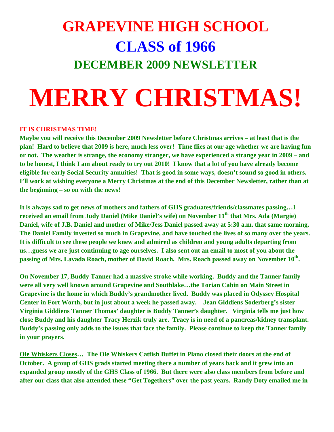## **GRAPEVINE HIGH SCHOOL CLASS of 1966 DECEMBER 2009 NEWSLETTER**

## **MERRY CHRISTMAS!**

## **IT IS CHRISTMAS TIME!**

**Maybe you will receive this December 2009 Newsletter before Christmas arrives – at least that is the plan! Hard to believe that 2009 is here, much less over! Time flies at our age whether we are having fun or not. The weather is strange, the economy stranger, we have experienced a strange year in 2009 – and to be honest, I think I am about ready to try out 2010! I know that a lot of you have already become eligible for early Social Security annuities! That is good in some ways, doesn't sound so good in others. I'll work at wishing everyone a Merry Christmas at the end of this December Newsletter, rather than at the beginning – so on with the news!** 

**It is always sad to get news of mothers and fathers of GHS graduates/friends/classmates passing…I received an email from Judy Daniel (Mike Daniel's wife) on November 11th that Mrs. Ada (Margie) Daniel, wife of J.B. Daniel and mother of Mike/Jess Daniel passed away at 5:30 a.m. that same morning. The Daniel Family invested so much in Grapevine, and have touched the lives of so many over the years. It is difficult to see these people we knew and admired as children and young adults departing from us…guess we are just continuing to age ourselves. I also sent out an email to most of you about the passing of Mrs. Lavada Roach, mother of David Roach. Mrs. Roach passed away on November 10th.** 

**On November 17, Buddy Tanner had a massive stroke while working. Buddy and the Tanner family were all very well known around Grapevine and Southlake…the Torian Cabin on Main Street in Grapevine is the home in which Buddy's grandmother lived. Buddy was placed in Odyssey Hospital Center in Fort Worth, but in just about a week he passed away. Jean Giddiens Soderberg's sister Virginia Giddiens Tanner Thomas' daughter is Buddy Tanner's daughter. Virginia tells me just how close Buddy and his daughter Tracy Herzik truly are. Tracy is in need of a pancreas/kidney transplant. Buddy's passing only adds to the issues that face the family. Please continue to keep the Tanner family in your prayers.** 

**Ole Whiskers Closes… The Ole Whiskers Catfish Buffet in Plano closed their doors at the end of October. A group of GHS grads started meeting there a number of years back and it grew into an expanded group mostly of the GHS Class of 1966. But there were also class members from before and after our class that also attended these "Get Togethers" over the past years. Randy Doty emailed me in**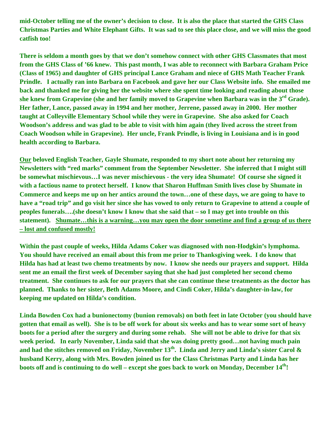**mid-October telling me of the owner's decision to close. It is also the place that started the GHS Class Christmas Parties and White Elephant Gifts. It was sad to see this place close, and we will miss the good catfish too!** 

**There is seldom a month goes by that we don't somehow connect with other GHS Classmates that most from the GHS Class of '66 knew. This past month, I was able to reconnect with Barbara Graham Price (Class of 1965) and daughter of GHS principal Lance Graham and niece of GHS Math Teacher Frank Prindle. I actually ran into Barbara on Facebook and gave her our Class Website info. She emailed me back and thanked me for giving her the website where she spent time looking and reading about those she knew from Grapevine (she and her family moved to Grapevine when Barbara was in the 3rd Grade). Her father, Lance, passed away in 1994 and her mother, Jerrene, passed away in 2000. Her mother taught at Colleyville Elementary School while they were in Grapevine. She also asked for Coach Woodson's address and was glad to be able to visit with him again (they lived across the street from Coach Woodson while in Grapevine). Her uncle, Frank Prindle, is living in Louisiana and is in good health according to Barbara.** 

**Our beloved English Teacher, Gayle Shumate, responded to my short note about her returning my Newsletters with "red marks" comment from the September Newsletter. She inferred that I might still be somewhat mischievous…I was never mischievous - the very idea Shumate! Of course she signed it with a factious name to protect herself. I know that Sharon Huffman Smith lives close by Shumate in Commerce and keeps me up on her antics around the town…one of these days, we are going to have to have a "road trip" and go visit her since she has vowed to only return to Grapevine to attend a couple of peoples funerals….(she doesn't know I know that she said that – so I may get into trouble on this statement). Shumate…this is a warning…you may open the door sometime and find a group of us there – lost and confused mostly!**

**Within the past couple of weeks, Hilda Adams Coker was diagnosed with non-Hodgkin's lymphoma. You should have received an email about this from me prior to Thanksgiving week. I do know that Hilda has had at least two chemo treatments by now. I know she needs our prayers and support. Hilda sent me an email the first week of December saying that she had just completed her second chemo treatment. She continues to ask for our prayers that she can continue these treatments as the doctor has planned. Thanks to her sister, Beth Adams Moore, and Cindi Coker, Hilda's daughter-in-law, for keeping me updated on Hilda's condition.** 

**Linda Bowden Cox had a bunionectomy (bunion removals) on both feet in late October (you should have gotten that email as well). She is to be off work for about six weeks and has to wear some sort of heavy boots for a period after the surgery and during some rehab. She will not be able to drive for that six week period. In early November, Linda said that she was doing pretty good…not having much pain and had the stitches removed on Friday, November 13th. Linda and Jerry and Linda's sister Carol & husband Kerry, along with Mrs. Bowden joined us for the Class Christmas Party and Linda has her boots off and is continuing to do well – except she goes back to work on Monday, December 14th!**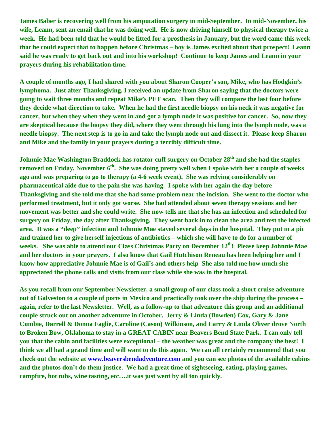**James Baber is recovering well from his amputation surgery in mid-September. In mid-November, his wife, Leann, sent an email that he was doing well. He is now driving himself to physical therapy twice a week. He had been told that he would be fitted for a prosthesis in January, but the word came this week that he could expect that to happen before Christmas – boy is James excited about that prospect! Leann said he was ready to get back out and into his workshop! Continue to keep James and Leann in your prayers during his rehabilitation time.** 

**A couple of months ago, I had shared with you about Sharon Cooper's son, Mike, who has Hodgkin's lymphoma. Just after Thanksgiving, I received an update from Sharon saying that the doctors were going to wait three months and repeat Mike's PET scan. Then they will compare the last four before they decide what direction to take. When he had the first needle biopsy on his neck it was negative for cancer, but when they when they went in and got a lymph node it was positive for cancer. So, now they are skeptical because the biopsy they did, where they went through his lung into the lymph node, was a needle biopsy. The next step is to go in and take the lymph node out and dissect it. Please keep Sharon and Mike and the family in your prayers during a terribly difficult time.** 

**Johnnie Mae Washington Braddock has rotator cuff surgery on October 28<sup>th</sup> and she had the staples removed on Friday, November 6th. She was doing pretty well when I spoke with her a couple of weeks ago and was preparing to go to therapy (a 4-6 week event). She was relying considerably on pharmaceutical aide due to the pain she was having. I spoke with her again the day before Thanksgiving and she told me that she had some problem near the incision. She went to the doctor who performed treatment, but it only got worse. She had attended about seven therapy sessions and her movement was better and she could write. She now tells me that she has an infection and scheduled for surgery on Friday, the day after Thanksgiving. They went back in to clean the area and test the infected area. It was a "deep" infection and Johnnie Mae stayed several days in the hospital. They put in a pic and trained her to give herself injections of antibiotics – which she will have to do for a number of**  weeks. She was able to attend our Class Christmas Party on December 12<sup>th</sup>! Please keep Johnnie Mae **and her doctors in your prayers. I also know that Gail Hutchison Reneau has been helping her and I know how appreciative Johnnie Mae is of Gail's and others help She also told me how much she appreciated the phone calls and visits from our class while she was in the hospital.** 

**As you recall from our September Newsletter, a small group of our class took a short cruise adventure out of Galveston to a couple of ports in Mexico and practically took over the ship during the process – again, refer to the last Newsletter. Well, as a follow-up to that adventure this group and an additional couple struck out on another adventure in October. Jerry & Linda (Bowden) Cox, Gary & Jane Cumbie, Darrell & Donna Faglie, Caroline (Cason) Wilkinson, and Larry & Linda Oliver drove North to Broken Bow, Oklahoma to stay in a GREAT CABIN near Beavers Bend State Park. I can only tell you that the cabin and facilities were exceptional – the weather was great and the company the best! I think we all had a grand time and will want to do this again. We can all certainly recommend that you check out the website at www.beaversbendadventure.com and you can see photos of the available cabins and the photos don't do them justice. We had a great time of sightseeing, eating, playing games, campfire, hot tubs, wine tasting, etc….it was just went by all too quickly.**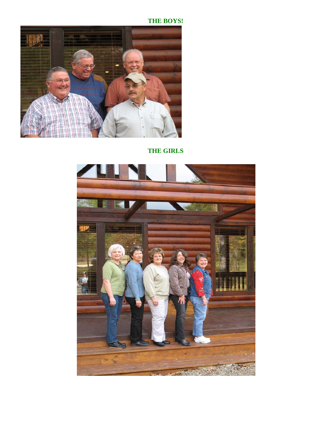**THE BOYS!** 



**THE GIRLS**